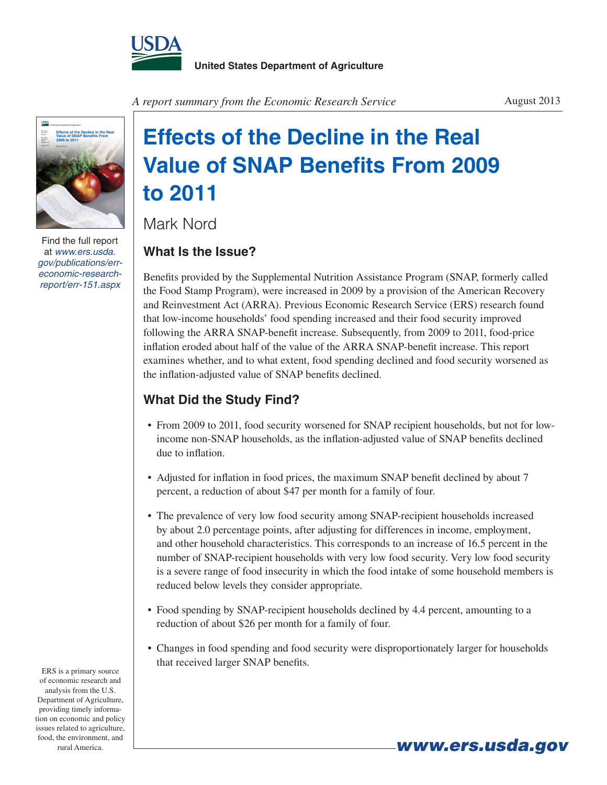



Find the full report at *www.ers.usda. gov/publications/erreconomic-researchreport/err-151.aspx*

*A report summary from the Economic Research Service* August 2013

# **Effects of the Decline in the Real Value of SNAP Benefits From 2009 to 2011**

Mark Nord

## **What Is the Issue?**

Benefits provided by the Supplemental Nutrition Assistance Program (SNAP, formerly called the Food Stamp Program), were increased in 2009 by a provision of the American Recovery and Reinvestment Act (ARRA). Previous Economic Research Service (ERS) research found that low-income households' food spending increased and their food security improved following the ARRA SNAP-benefit increase. Subsequently, from 2009 to 2011, food-price inflation eroded about half of the value of the ARRA SNAP-benefit increase. This report examines whether, and to what extent, food spending declined and food security worsened as the inflation-adjusted value of SNAP benefits declined.

# **What Did the Study Find?**

- From 2009 to 2011, food security worsened for SNAP recipient households, but not for lowincome non-SNAP households, as the inflation-adjusted value of SNAP benefits declined due to inflation.
- Adjusted for inflation in food prices, the maximum SNAP benefit declined by about 7 percent, a reduction of about \$47 per month for a family of four.
- The prevalence of very low food security among SNAP-recipient households increased by about 2.0 percentage points, after adjusting for differences in income, employment, and other household characteristics. This corresponds to an increase of 16.5 percent in the number of SNAP-recipient households with very low food security. Very low food security is a severe range of food insecurity in which the food intake of some household members is reduced below levels they consider appropriate.
- Food spending by SNAP-recipient households declined by 4.4 percent, amounting to a reduction of about \$26 per month for a family of four.
- Changes in food spending and food security were disproportionately larger for households that received larger SNAP benefits.

ERS is a primary source of economic research and analysis from the U.S. Department of Agriculture, providing timely information on economic and policy issues related to agriculture, food, the environment, and rural America.

*www.ers.usda.gov*